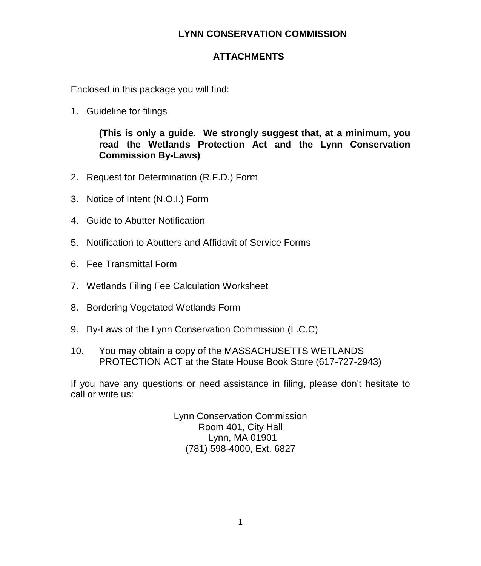## **LYNN CONSERVATION COMMISSION**

## **ATTACHMENTS**

Enclosed in this package you will find:

1. Guideline for filings

**(This is only a guide. We strongly suggest that, at a minimum, you read the Wetlands Protection Act and the Lynn Conservation Commission By-Laws)**

- 2. Request for Determination (R.F.D.) Form
- 3. Notice of Intent (N.O.I.) Form
- 4. Guide to Abutter Notification
- 5. Notification to Abutters and Affidavit of Service Forms
- 6. Fee Transmittal Form
- 7. Wetlands Filing Fee Calculation Worksheet
- 8. Bordering Vegetated Wetlands Form
- 9. By-Laws of the Lynn Conservation Commission (L.C.C)
- 10. You may obtain a copy of the MASSACHUSETTS WETLANDS PROTECTION ACT at the State House Book Store (617-727-2943)

If you have any questions or need assistance in filing, please don't hesitate to call or write us:

> Lynn Conservation Commission Room 401, City Hall Lynn, MA 01901 (781) 598-4000, Ext. 6827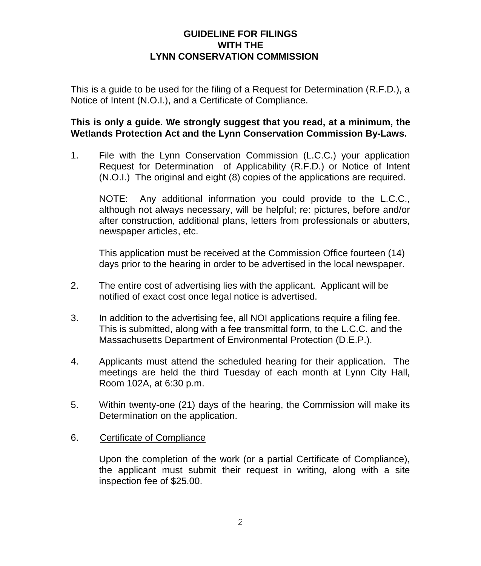## **GUIDELINE FOR FILINGS WITH THE LYNN CONSERVATION COMMISSION**

This is a guide to be used for the filing of a Request for Determination (R.F.D.), a Notice of Intent (N.O.I.), and a Certificate of Compliance.

## **This is only a guide. We strongly suggest that you read, at a minimum, the Wetlands Protection Act and the Lynn Conservation Commission By-Laws.**

1. File with the Lynn Conservation Commission (L.C.C.) your application Request for Determination of Applicability (R.F.D.) or Notice of Intent (N.O.I.) The original and eight (8) copies of the applications are required.

NOTE: Any additional information you could provide to the L.C.C., although not always necessary, will be helpful; re: pictures, before and/or after construction, additional plans, letters from professionals or abutters, newspaper articles, etc.

This application must be received at the Commission Office fourteen (14) days prior to the hearing in order to be advertised in the local newspaper.

- 2. The entire cost of advertising lies with the applicant. Applicant will be notified of exact cost once legal notice is advertised.
- 3. In addition to the advertising fee, all NOI applications require a filing fee. This is submitted, along with a fee transmittal form, to the L.C.C. and the Massachusetts Department of Environmental Protection (D.E.P.).
- 4. Applicants must attend the scheduled hearing for their application. The meetings are held the third Tuesday of each month at Lynn City Hall, Room 102A, at 6:30 p.m.
- 5. Within twenty-one (21) days of the hearing, the Commission will make its Determination on the application.

### 6. Certificate of Compliance

Upon the completion of the work (or a partial Certificate of Compliance), the applicant must submit their request in writing, along with a site inspection fee of \$25.00.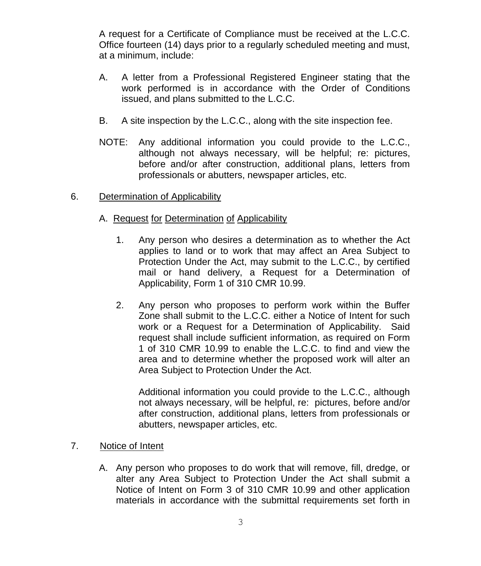A request for a Certificate of Compliance must be received at the L.C.C. Office fourteen (14) days prior to a regularly scheduled meeting and must, at a minimum, include:

- A. A letter from a Professional Registered Engineer stating that the work performed is in accordance with the Order of Conditions issued, and plans submitted to the L.C.C.
- B. A site inspection by the L.C.C., along with the site inspection fee.
- NOTE: Any additional information you could provide to the L.C.C., although not always necessary, will be helpful; re: pictures, before and/or after construction, additional plans, letters from professionals or abutters, newspaper articles, etc.

### 6. Determination of Applicability

- A. Request for Determination of Applicability
	- 1. Any person who desires a determination as to whether the Act applies to land or to work that may affect an Area Subject to Protection Under the Act, may submit to the L.C.C., by certified mail or hand delivery, a Request for a Determination of Applicability, Form 1 of 310 CMR 10.99.
	- 2. Any person who proposes to perform work within the Buffer Zone shall submit to the L.C.C. either a Notice of Intent for such work or a Request for a Determination of Applicability. Said request shall include sufficient information, as required on Form 1 of 310 CMR 10.99 to enable the L.C.C. to find and view the area and to determine whether the proposed work will alter an Area Subject to Protection Under the Act.

Additional information you could provide to the L.C.C., although not always necessary, will be helpful, re: pictures, before and/or after construction, additional plans, letters from professionals or abutters, newspaper articles, etc.

#### 7. Notice of Intent

A. Any person who proposes to do work that will remove, fill, dredge, or alter any Area Subject to Protection Under the Act shall submit a Notice of Intent on Form 3 of 310 CMR 10.99 and other application materials in accordance with the submittal requirements set forth in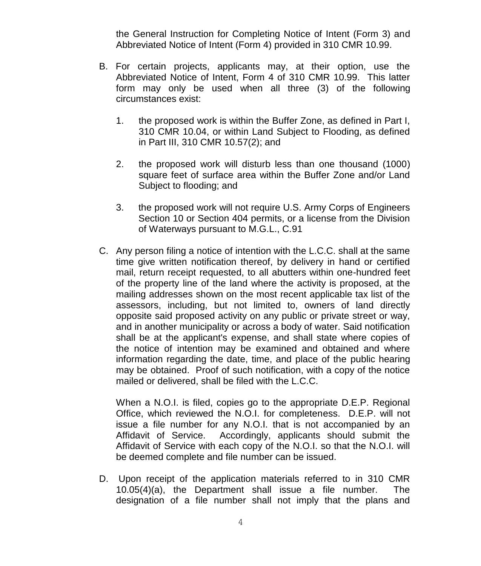the General Instruction for Completing Notice of Intent (Form 3) and Abbreviated Notice of Intent (Form 4) provided in 310 CMR 10.99.

- B. For certain projects, applicants may, at their option, use the Abbreviated Notice of Intent, Form 4 of 310 CMR 10.99. This latter form may only be used when all three (3) of the following circumstances exist:
	- 1. the proposed work is within the Buffer Zone, as defined in Part I, 310 CMR 10.04, or within Land Subject to Flooding, as defined in Part III, 310 CMR 10.57(2); and
	- 2. the proposed work will disturb less than one thousand (1000) square feet of surface area within the Buffer Zone and/or Land Subject to flooding; and
	- 3. the proposed work will not require U.S. Army Corps of Engineers Section 10 or Section 404 permits, or a license from the Division of Waterways pursuant to M.G.L., C.91
- C. Any person filing a notice of intention with the L.C.C. shall at the same time give written notification thereof, by delivery in hand or certified mail, return receipt requested, to all abutters within one-hundred feet of the property line of the land where the activity is proposed, at the mailing addresses shown on the most recent applicable tax list of the assessors, including, but not limited to, owners of land directly opposite said proposed activity on any public or private street or way, and in another municipality or across a body of water. Said notification shall be at the applicant's expense, and shall state where copies of the notice of intention may be examined and obtained and where information regarding the date, time, and place of the public hearing may be obtained. Proof of such notification, with a copy of the notice mailed or delivered, shall be filed with the L.C.C.

When a N.O.I. is filed, copies go to the appropriate D.E.P. Regional Office, which reviewed the N.O.I. for completeness. D.E.P. will not issue a file number for any N.O.I. that is not accompanied by an Affidavit of Service. Accordingly, applicants should submit the Affidavit of Service with each copy of the N.O.I. so that the N.O.I. will be deemed complete and file number can be issued.

D. Upon receipt of the application materials referred to in 310 CMR 10.05(4)(a), the Department shall issue a file number. The designation of a file number shall not imply that the plans and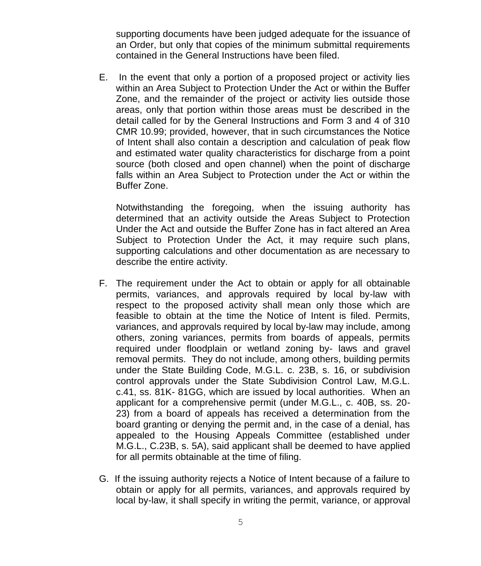supporting documents have been judged adequate for the issuance of an Order, but only that copies of the minimum submittal requirements contained in the General Instructions have been filed.

E. In the event that only a portion of a proposed project or activity lies within an Area Subject to Protection Under the Act or within the Buffer Zone, and the remainder of the project or activity lies outside those areas, only that portion within those areas must be described in the detail called for by the General Instructions and Form 3 and 4 of 310 CMR 10.99; provided, however, that in such circumstances the Notice of Intent shall also contain a description and calculation of peak flow and estimated water quality characteristics for discharge from a point source (both closed and open channel) when the point of discharge falls within an Area Subject to Protection under the Act or within the Buffer Zone.

Notwithstanding the foregoing, when the issuing authority has determined that an activity outside the Areas Subject to Protection Under the Act and outside the Buffer Zone has in fact altered an Area Subject to Protection Under the Act, it may require such plans, supporting calculations and other documentation as are necessary to describe the entire activity.

- F. The requirement under the Act to obtain or apply for all obtainable permits, variances, and approvals required by local by-law with respect to the proposed activity shall mean only those which are feasible to obtain at the time the Notice of Intent is filed. Permits, variances, and approvals required by local by-law may include, among others, zoning variances, permits from boards of appeals, permits required under floodplain or wetland zoning by- laws and gravel removal permits. They do not include, among others, building permits under the State Building Code, M.G.L. c. 23B, s. 16, or subdivision control approvals under the State Subdivision Control Law, M.G.L. c.41, ss. 81K- 81GG, which are issued by local authorities. When an applicant for a comprehensive permit (under M.G.L., c. 40B, ss. 20- 23) from a board of appeals has received a determination from the board granting or denying the permit and, in the case of a denial, has appealed to the Housing Appeals Committee (established under M.G.L., C.23B, s. 5A), said applicant shall be deemed to have applied for all permits obtainable at the time of filing.
- G. If the issuing authority rejects a Notice of Intent because of a failure to obtain or apply for all permits, variances, and approvals required by local by-law, it shall specify in writing the permit, variance, or approval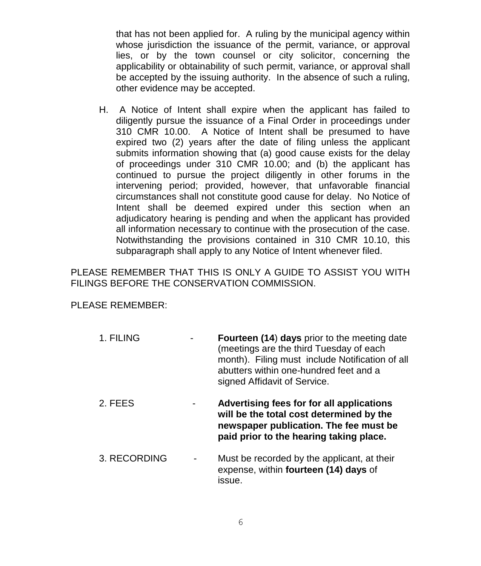that has not been applied for. A ruling by the municipal agency within whose jurisdiction the issuance of the permit, variance, or approval lies, or by the town counsel or city solicitor, concerning the applicability or obtainability of such permit, variance, or approval shall be accepted by the issuing authority. In the absence of such a ruling, other evidence may be accepted.

H. A Notice of Intent shall expire when the applicant has failed to diligently pursue the issuance of a Final Order in proceedings under 310 CMR 10.00. A Notice of Intent shall be presumed to have expired two (2) years after the date of filing unless the applicant submits information showing that (a) good cause exists for the delay of proceedings under 310 CMR 10.00; and (b) the applicant has continued to pursue the project diligently in other forums in the intervening period; provided, however, that unfavorable financial circumstances shall not constitute good cause for delay. No Notice of Intent shall be deemed expired under this section when an adjudicatory hearing is pending and when the applicant has provided all information necessary to continue with the prosecution of the case. Notwithstanding the provisions contained in 310 CMR 10.10, this subparagraph shall apply to any Notice of Intent whenever filed.

PLEASE REMEMBER THAT THIS IS ONLY A GUIDE TO ASSIST YOU WITH FILINGS BEFORE THE CONSERVATION COMMISSION.

PLEASE REMEMBER:

- 1. FILING **Fourteen (14**) **days** prior to the meeting date (meetings are the third Tuesday of each month). Filing must include Notification of all abutters within one-hundred feet and a signed Affidavit of Service.
- 2. FEES **Advertising fees for for all applications will be the total cost determined by the newspaper publication. The fee must be paid prior to the hearing taking place.**
- 3. RECORDING Must be recorded by the applicant, at their expense, within **fourteen (14) days** of issue.